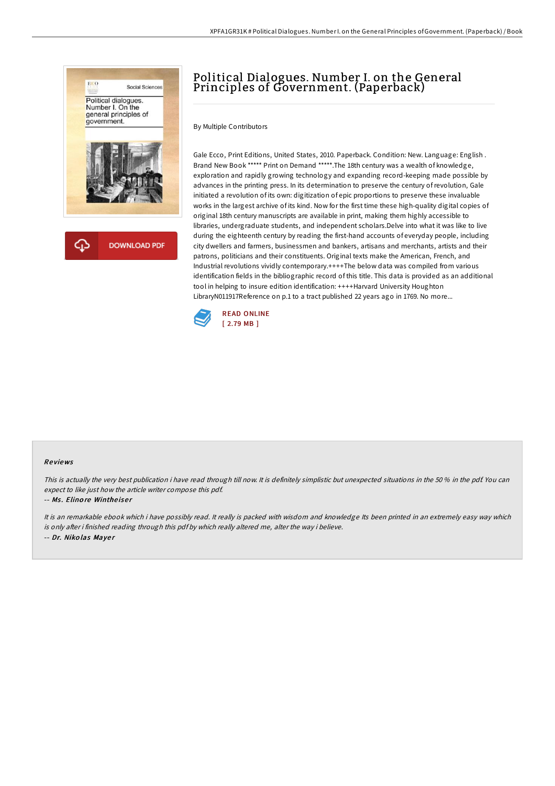

# Political Dialogues. Number I. on the General Principles of Government. (Paperback)

By Multiple Contributors

Gale Ecco, Print Editions, United States, 2010. Paperback. Condition: New. Language: English . Brand New Book \*\*\*\*\* Print on Demand \*\*\*\*\*.The 18th century was a wealth of knowledge, exploration and rapidly growing technology and expanding record-keeping made possible by advances in the printing press. In its determination to preserve the century ofrevolution, Gale initiated a revolution of its own: digitization of epic proportions to preserve these invaluable works in the largest archive of its kind. Now for the first time these high-quality digital copies of original 18th century manuscripts are available in print, making them highly accessible to libraries, undergraduate students, and independent scholars.Delve into what it was like to live during the eighteenth century by reading the first-hand accounts of everyday people, including city dwellers and farmers, businessmen and bankers, artisans and merchants, artists and their patrons, politicians and their constituents. Original texts make the American, French, and Industrial revolutions vividly contemporary.++++The below data was compiled from various identification fields in the bibliographic record of this title. This data is provided as an additional tool in helping to insure edition identification: ++++Harvard University Houghton LibraryN011917Reference on p.1 to a tract published 22 years ago in 1769. No more...



### Re views

This is actually the very best publication i have read through till now. It is definitely simplistic but unexpected situations in the 50 % in the pdf. You can expect to like just how the article writer compose this pdf.

#### -- Ms. Elinore Wintheiser

It is an remarkable ebook which i have possibly read. It really is packed with wisdom and knowledge Its been printed in an extremely easy way which is only after i finished reading through this pdf by which really altered me, alter the way i believe. -- Dr. Niko las Maye <sup>r</sup>